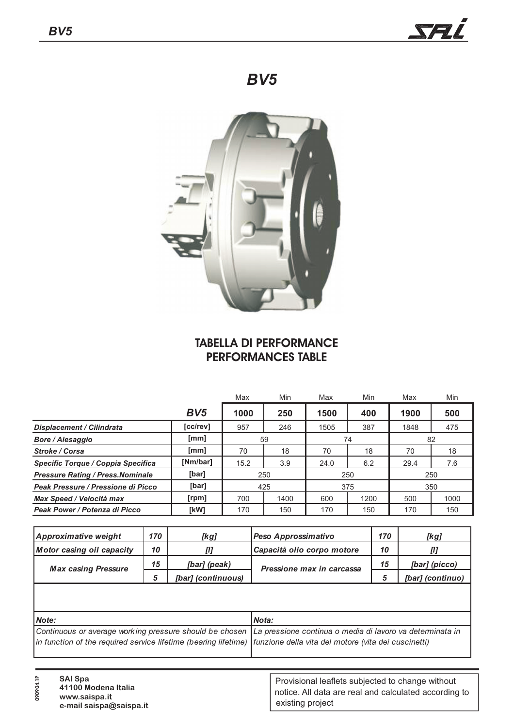**090904.1P**



# *BV5*



### **TABELLA DI PERFORMANCE PERFORMANCES TABLE**

|                                                |                 | Min<br>Max |      | Max  | Min  | Max  | Min  |  |
|------------------------------------------------|-----------------|------------|------|------|------|------|------|--|
|                                                | BV <sub>5</sub> | 1000       | 250  | 1500 | 400  | 1900 | 500  |  |
| <b>Displacement / Cilindrata</b>               | [cc/rev]        | 957        | 246  | 1505 | 387  | 1848 | 475  |  |
| <b>Bore / Alesaggio</b>                        | [mm]            |            | 59   |      | 74   | 82   |      |  |
| <b>Stroke / Corsa</b>                          | [mm]            |            | 18   | 70   | 18   | 70   | 18   |  |
| [Nm/bar]<br>Specific Torque / Coppia Specifica |                 | 15.2       | 3.9  | 24.0 | 6.2  | 29.4 | 7.6  |  |
| <b>Pressure Rating / Press. Nominale</b>       | [bar]           | 250        |      |      | 250  | 250  |      |  |
| Peak Pressure / Pressione di Picco             | [bar]           | 425        |      | 375  |      | 350  |      |  |
| Max Speed / Velocità max                       | [rpm]           | 700        | 1400 | 600  | 1200 | 500  | 1000 |  |
| Peak Power / Potenza di Picco                  | [kW]            | 170        | 150  | 170  | 150  | 170  | 150  |  |

| Approximative weight             | 170 | [kg]               | Peso Approssimativo        |    | [kg]             |
|----------------------------------|-----|--------------------|----------------------------|----|------------------|
| <b>Motor casing oil capacity</b> | 10  | [1]                | Capacità olio corpo motore |    |                  |
| <b>Max casing Pressure</b>       | 15  | [bar] (peak)       | Pressione max in carcassa  | 15 | [bar] (picco)    |
|                                  |     | [bar] (continuous) |                            |    | [bar] (continuo) |

| Mote:                                                                                                                | Nota: |
|----------------------------------------------------------------------------------------------------------------------|-------|
| Continuous or average working pressure should be chosen La pressione continua o media di lavoro va determinata in    |       |
| in function of the required service lifetime (bearing lifetime) funzione della vita del motore (vita dei cuscinetti) |       |
|                                                                                                                      |       |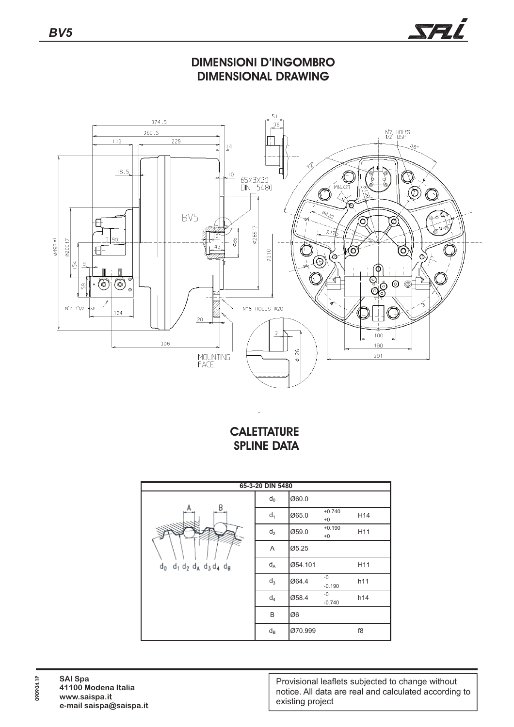

#### **DIMENSIONI D'INGOMBRO DIMENSIONAL DRAWING**



## **CALETTATURE SPLINE DATA**

| 65-3-20 DIN 5480                                    |                  |         |                  |                 |  |  |  |  |
|-----------------------------------------------------|------------------|---------|------------------|-----------------|--|--|--|--|
|                                                     | $d_0$            | Ø60.0   |                  |                 |  |  |  |  |
| В<br>А<br>$d_0$ $d_1$ $d_2$ $d_4$ $d_3$ $d_4$ $d_8$ | $d_1$            | Ø65.0   | $+0.740$<br>$+0$ | H14             |  |  |  |  |
|                                                     | $d_2$            | Ø59.0   | $+0.190$<br>$+0$ | H11             |  |  |  |  |
|                                                     | A                | Ø5.25   |                  |                 |  |  |  |  |
|                                                     | $d_A$            | Ø54.101 |                  | H <sub>11</sub> |  |  |  |  |
|                                                     | $d_3$            | Ø64.4   | $-0$<br>$-0.190$ | h11             |  |  |  |  |
|                                                     | $d_4$            | Ø58.4   | $-0$<br>$-0.740$ | h14             |  |  |  |  |
|                                                     | B                | Ø6      |                  |                 |  |  |  |  |
|                                                     | $d_{\mathsf{B}}$ | Ø70.999 |                  | f8              |  |  |  |  |

**090904.1P**